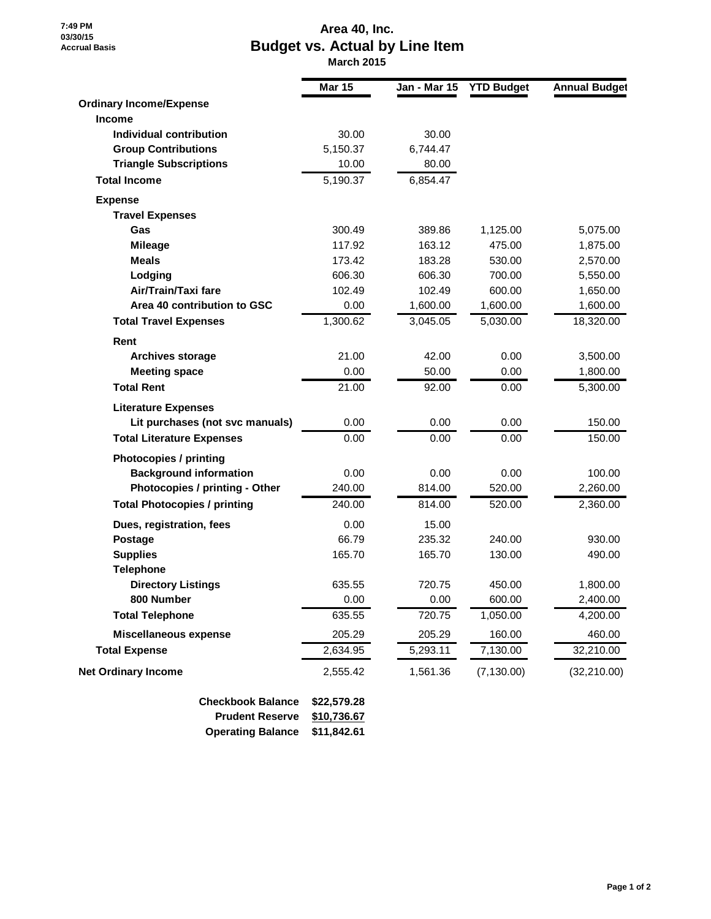**7:49 PM 03/30/15 Accrual Basis**

## **Area 40, Inc. Budget vs. Actual by Line Item March 2015**

|                                     | <b>Mar 15</b> | Jan - Mar 15 | <b>YTD Budget</b> | <b>Annual Budget</b> |
|-------------------------------------|---------------|--------------|-------------------|----------------------|
| <b>Ordinary Income/Expense</b>      |               |              |                   |                      |
| Income                              |               |              |                   |                      |
| Individual contribution             | 30.00         | 30.00        |                   |                      |
| <b>Group Contributions</b>          | 5,150.37      | 6,744.47     |                   |                      |
| <b>Triangle Subscriptions</b>       | 10.00         | 80.00        |                   |                      |
| <b>Total Income</b>                 | 5,190.37      | 6,854.47     |                   |                      |
| <b>Expense</b>                      |               |              |                   |                      |
| <b>Travel Expenses</b>              |               |              |                   |                      |
| Gas                                 | 300.49        | 389.86       | 1,125.00          | 5,075.00             |
| <b>Mileage</b>                      | 117.92        | 163.12       | 475.00            | 1,875.00             |
| <b>Meals</b>                        | 173.42        | 183.28       | 530.00            | 2,570.00             |
| Lodging                             | 606.30        | 606.30       | 700.00            | 5,550.00             |
| Air/Train/Taxi fare                 | 102.49        | 102.49       | 600.00            | 1,650.00             |
| Area 40 contribution to GSC         | 0.00          | 1,600.00     | 1,600.00          | 1,600.00             |
| <b>Total Travel Expenses</b>        | 1,300.62      | 3,045.05     | 5,030.00          | 18,320.00            |
| Rent                                |               |              |                   |                      |
| <b>Archives storage</b>             | 21.00         | 42.00        | 0.00              | 3,500.00             |
| <b>Meeting space</b>                | 0.00          | 50.00        | 0.00              | 1,800.00             |
| <b>Total Rent</b>                   | 21.00         | 92.00        | 0.00              | 5,300.00             |
| <b>Literature Expenses</b>          |               |              |                   |                      |
| Lit purchases (not svc manuals)     | 0.00          | 0.00         | 0.00              | 150.00               |
| <b>Total Literature Expenses</b>    | 0.00          | 0.00         | 0.00              | 150.00               |
| <b>Photocopies / printing</b>       |               |              |                   |                      |
| <b>Background information</b>       | 0.00          | 0.00         | 0.00              | 100.00               |
| Photocopies / printing - Other      | 240.00        | 814.00       | 520.00            | 2,260.00             |
| <b>Total Photocopies / printing</b> | 240.00        | 814.00       | 520.00            | 2,360.00             |
| Dues, registration, fees            | 0.00          | 15.00        |                   |                      |
| Postage                             | 66.79         | 235.32       | 240.00            | 930.00               |
| <b>Supplies</b>                     | 165.70        | 165.70       | 130.00            | 490.00               |
| <b>Telephone</b>                    |               |              |                   |                      |
| <b>Directory Listings</b>           | 635.55        | 720.75       | 450.00            | 1,800.00             |
| 800 Number                          | 0.00          | 0.00         | 600.00            | 2,400.00             |
| <b>Total Telephone</b>              | 635.55        | 720.75       | 1,050.00          | 4,200.00             |
| <b>Miscellaneous expense</b>        | 205.29        | 205.29       | 160.00            | 460.00               |
| <b>Total Expense</b>                | 2,634.95      | 5,293.11     | 7,130.00          | 32,210.00            |
| <b>Net Ordinary Income</b>          | 2,555.42      | 1,561.36     | (7, 130.00)       | (32, 210.00)         |
| <b>Checkbook Balance</b>            | \$22,579.28   |              |                   |                      |

| Checkbook Balance        | \$22,579.28 |
|--------------------------|-------------|
| <b>Prudent Reserve</b>   | \$10,736.67 |
| <b>Operating Balance</b> | \$11,842.61 |